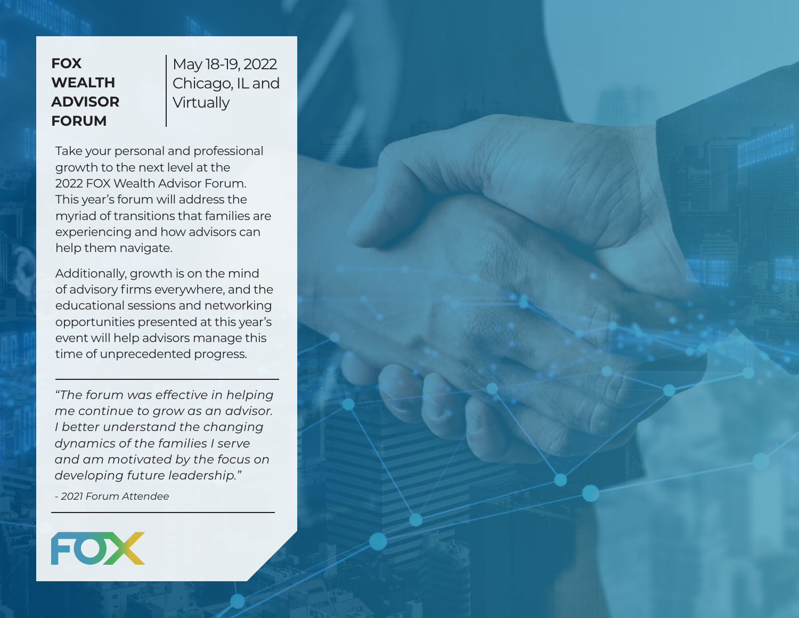**FOX WEALTH ADVISOR FORUM**

May 18-19, 2022 Chicago, IL and **Virtually** 

Take your personal and professional growth to the next level at the 2022 FOX Wealth Advisor Forum. This year's forum will address the myriad of transitions that families are experiencing and how advisors can help them navigate.

Additionally, growth is on the mind of advisory firms everywhere, and the educational sessions and networking opportunities presented at this year's event will help advisors manage this time of unprecedented progress.

*"The forum was effective in helping me continue to grow as an advisor. I better understand the changing dynamics of the families I serve and am motivated by the focus on developing future leadership."*

*- 2021 Forum Attendee*

# FOX